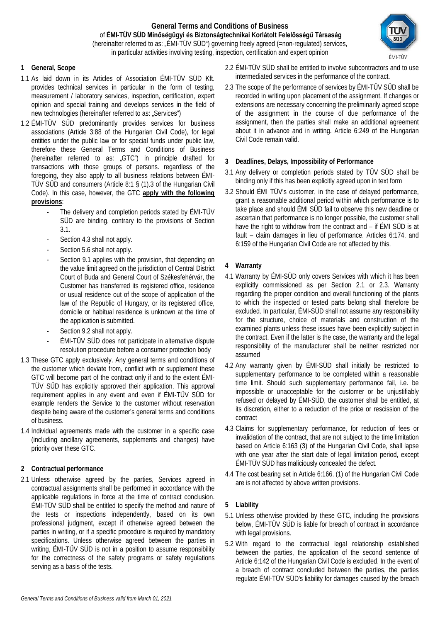## **General Terms and Conditions of Business** of **ÉMI-TÜV SÜD Minőségügyi és Biztonságtechnikai Korlátolt Felelősségű Társaság** (hereinafter referred to as: "ÉMI-TÜV SÜD") governing freely agreed (=non-regulated) services, in particular activities involving testing, inspection, certification and expert opinion



### **1 General, Scope**

- 1.1 As laid down in its Articles of Association ÉMI-TÜV SÜD Kft. provides technical services in particular in the form of testing, measurement / laboratory services, inspection, certification, expert opinion and special training and develops services in the field of new technologies (hereinafter referred to as: "Services")
- 1.2 ÉMI-TÜV SÜD predominantly provides services for business associations (Article 3:88 of the Hungarian Civil Code), for legal entities under the public law or for special funds under public law, therefore these General Terms and Conditions of Business (hereinafter referred to as: "GTC") in principle drafted for transactions with those groups of persons. regardless of the foregoing, they also apply to all business relations between ÉMI-TÜV SÜD and consumers (Article 8:1 § (1).3 of the Hungarian Civil Code). In this case, however, the GTC **apply with the following provisions**:
	- The delivery and completion periods stated by EMI-TÜV SÜD are binding, contrary to the provisions of Section 3.1.
	- Section 4.3 shall not apply.
	- Section 5.6 shall not apply.
	- Section 9.1 applies with the provision, that depending on the value limit agreed on the jurisdiction of Central District Court of Buda and General Court of Székesfehérvár, the Customer has transferred its registered office, residence or usual residence out of the scope of application of the law of the Republic of Hungary, or its registered office, domicile or habitual residence is unknown at the time of the application is submitted.
	- Section 9.2 shall not apply.
	- ÉMI-TÜV SÜD does not participate in alternative dispute resolution procedure before a consumer protection body
- 1.3 These GTC apply exclusively. Any general terms and conditions of the customer which deviate from, conflict with or supplement these GTC will become part of the contract only if and to the extent ÉMI-TÜV SÜD has explicitly approved their application. This approval requirement applies in any event and even if ÉMI-TÜV SÜD for example renders the Service to the customer without reservation despite being aware of the customer's general terms and conditions of business.
- 1.4 Individual agreements made with the customer in a specific case (including ancillary agreements, supplements and changes) have priority over these GTC.

### **2 Contractual performance**

2.1 Unless otherwise agreed by the parties, Services agreed in contractual assignments shall be performed in accordance with the applicable regulations in force at the time of contract conclusion. ÉMI-TÜV SÜD shall be entitled to specify the method and nature of the tests or inspections independently, based on its own professional judgment, except if otherwise agreed between the parties in writing, or if a specific procedure is required by mandatory specifications. Unless otherwise agreed between the parties in writing, ÉMI-TÜV SÜD is not in a position to assume responsibility for the correctness of the safety programs or safety regulations serving as a basis of the tests.

- 2.2 ÉMI-TÜV SÜD shall be entitled to involve subcontractors and to use intermediated services in the performance of the contract.
- 2.3 The scope of the performance of services by ÉMI-TÜV SÜD shall be recorded in writing upon placement of the assignment. If changes or extensions are necessary concerning the preliminarily agreed scope of the assignment in the course of due performance of the assignment, then the parties shall make an additional agreement about it in advance and in writing. Article 6:249 of the Hungarian Civil Code remain valid.

#### **3 Deadlines, Delays, Impossibility of Performance**

- 3.1 Any delivery or completion periods stated by TÜV SÜD shall be binding only if this has been explicitly agreed upon in text form
- 3.2 Should ÉMI TÜV's customer, in the case of delayed performance, grant a reasonable additional period within which performance is to take place and should ÉMI SÜD fail to observe this new deadline or ascertain that performance is no longer possible, the customer shall have the right to withdraw from the contract and – if ÉMI SÜD is at fault – claim damages in lieu of performance. Articles 6:174. and 6:159 of the Hungarian Civil Code are not affected by this.

### **4 Warranty**

- 4.1 Warranty by ÉMI-SÜD only covers Services with which it has been explicitly commissioned as per Section 2.1 or 2.3. Warranty regarding the proper condition and overall functioning of the plants to which the inspected or tested parts belong shall therefore be excluded. In particular, ÉMI-SÜD shall not assume any responsibility for the structure, choice of materials and construction of the examined plants unless these issues have been explicitly subject in the contract. Even if the latter is the case, the warranty and the legal responsibility of the manufacturer shall be neither restricted nor assumed
- 4.2 Any warranty given by ÉMI-SÜD shall initially be restricted to supplementary performance to be completed within a reasonable time limit. Should such supplementary performance fail, i.e. be impossible or unacceptable for the customer or be unjustifiably refused or delayed by ÉMI-SÜD, the customer shall be entitled, at its discretion, either to a reduction of the price or rescission of the contract
- 4.3 Claims for supplementary performance, for reduction of fees or invalidation of the contract, that are not subject to the time limitation based on Article 6:163 (3) of the Hungarian Civil Code, shall lapse with one year after the start date of legal limitation period, except ÉMI-TÜV SÜD has maliciously concealed the defect.
- 4.4 The cost bearing set in Article 6:166. (1) of the Hungarian Civil Code are is not affected by above written provisions.

### **5 Liability**

- 5.1 Unless otherwise provided by these GTC, including the provisions below, ÉMI-TÜV SÜD is liable for breach of contract in accordance with legal provisions.
- 5.2 With regard to the contractual legal relationship established between the parties, the application of the second sentence of Article 6:142 of the Hungarian Civil Code is excluded. In the event of a breach of contract concluded between the parties, the parties regulate ÉMI-TÜV SÜD's liability for damages caused by the breach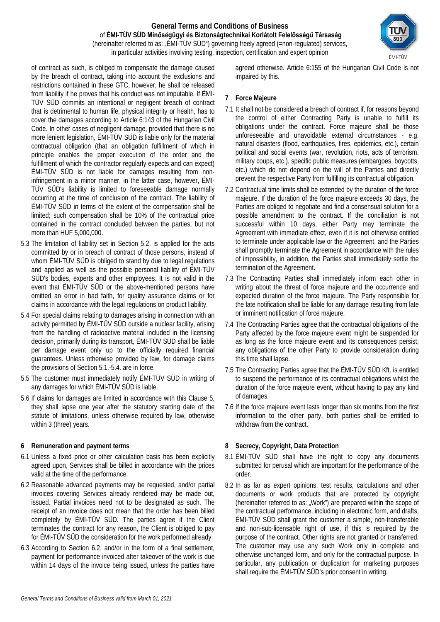#### **General Terms and Conditions of Business** of **ÉMI-TÜV SÜD Minőségügyi és Biztonságtechnikai Korlátolt Felelősségű Társaság** (hereinafter referred to as: "ÉMI-TÜV SÜD") governing freely agreed (=non-regulated) services, in particular activities involving testing, inspection, certification and expert opinion



- 5.3 The limitation of liability set in Section 5.2. is applied for the acts committed by or in breach of contract of those persons, instead of whom ÉMI-TÜV SÜD is obliged to stand by due to legal regulations and applied as well as the possible personal liability of ÉMI-TÜV SÜD's bodies, experts and other employees. It is not valid in the event that ÉMI-TÜV SÜD or the above-mentioned persons have omitted an error in bad faith, for quality assurance claims or for claims in accordance with the legal regulations on product liability.
- 5.4 For special claims relating to damages arising in connection with an activity permitted by ÉMI-TÜV SÜD outside a nuclear facility, arising from the handling of radioactive material included in the licensing decision, primarily during its transport, ÉMI-TÜV SÜD shall be liable per damage event only up to the officially required financial guarantees. Unless otherwise provided by law, for damage claims the provisions of Section 5.1.-5.4. are in force.
- 5.5 The customer must immediately notify ÉMI-TÜV SÜD in writing of any damages for which ÉMI-TÜV SÜD is liable.
- 5.6 If claims for damages are limited in accordance with this Clause 5, they shall lapse one year after the statutory starting date of the statute of limitations, unless otherwise required by law, otherwise within 3 (three) years.

# **6 Remuneration and payment terms**

- 6.1 Unless a fixed price or other calculation basis has been explicitly agreed upon, Services shall be billed in accordance with the prices valid at the time of the performance.
- 6.2 Reasonable advanced payments may be requested, and/or partial invoices covering Services already rendered may be made out, issued. Partial invoices need not to be designated as such. The receipt of an invoice does not mean that the order has been billed completely by ÉMI-TÜV SÜD. The parties agree if the Client terminates the contract for any reason, the Client is obliged to pay for ÉMI-TÜV SÜD the consideration for the work performed already.
- 6.3 According to Section 6.2. and/or in the form of a final settlement, payment for performance invoiced after takeover of the work is due within 14 days of the invoice being issued, unless the parties have

agreed otherwise. Article 6:155 of the Hungarian Civil Code is not impaired by this.

## **7 Force Majeure**

- 7.1 It shall not be considered a breach of contract if, for reasons beyond the control of either Contracting Party is unable to fulfill its obligations under the contract. Force majeure shall be those unforeseeable and unavoidable external circumstances - e.g. natural disasters (flood, earthquakes, fires, epidemics, etc.), certain political and social events (war, revolution, riots, acts of terrorism, military coups, etc.), specific public measures (embargoes, boycotts, etc.) which do not depend on the will of the Parties and directly prevent the respective Party from fulfilling its contractual obligation.
- 7.2 Contractual time limits shall be extended by the duration of the force majeure. If the duration of the force majeure exceeds 30 days, the Parties are obliged to negotiate and find a consensual solution for a possible amendment to the contract. If the conciliation is not successful within 10 days, either Party may terminate the Agreement with immediate effect, even if it is not otherwise entitled to terminate under applicable law or the Agreement, and the Parties shall promptly terminate the Agreement in accordance with the rules of impossibility, in addition, the Parties shall immediately settle the termination of the Agreement.
- 7.3 The Contracting Parties shall immediately inform each other in writing about the threat of force majeure and the occurrence and expected duration of the force majeure. The Party responsible for the late notification shall be liable for any damage resulting from late or imminent notification of force majeure.
- 7.4 The Contracting Parties agree that the contractual obligations of the Party affected by the force majeure event might be suspended for as long as the force majeure event and its consequences persist; any obligations of the other Party to provide consideration during this time shall lapse.
- 7.5 The Contracting Parties agree that the ÉMI-TÜV SÜD Kft. is entitled to suspend the performance of its contractual obligations whilst the duration of the force majeure event, without having to pay any kind of damages.
- 7.6 If the force majeure event lasts longer than six months from the first information to the other party, both parties shall be entitled to withdraw from the contract.

# **8 Secrecy, Copyright, Data Protection**

- 8.1 ÉMI-TÜV SÜD shall have the right to copy any documents submitted for perusal which are important for the performance of the order.
- 8.2 In as far as expert opinions, test results, calculations and other documents or work products that are protected by copyright (hereinafter referred to as: "Work") are prepared within the scope of the contractual performance, including in electronic form, and drafts, ÉMI-TÜV SÜD shall grant the customer a simple, non-transferable and non-sub-licensable right of use, if this is required by the purpose of the contract. Other rights are not granted or transferred. The customer may use any such Work only in complete and otherwise unchanged form, and only for the contractual purpose. In particular, any publication or duplication for marketing purposes shall require the ÉMI-TÜV SÜD's prior consent in writing.